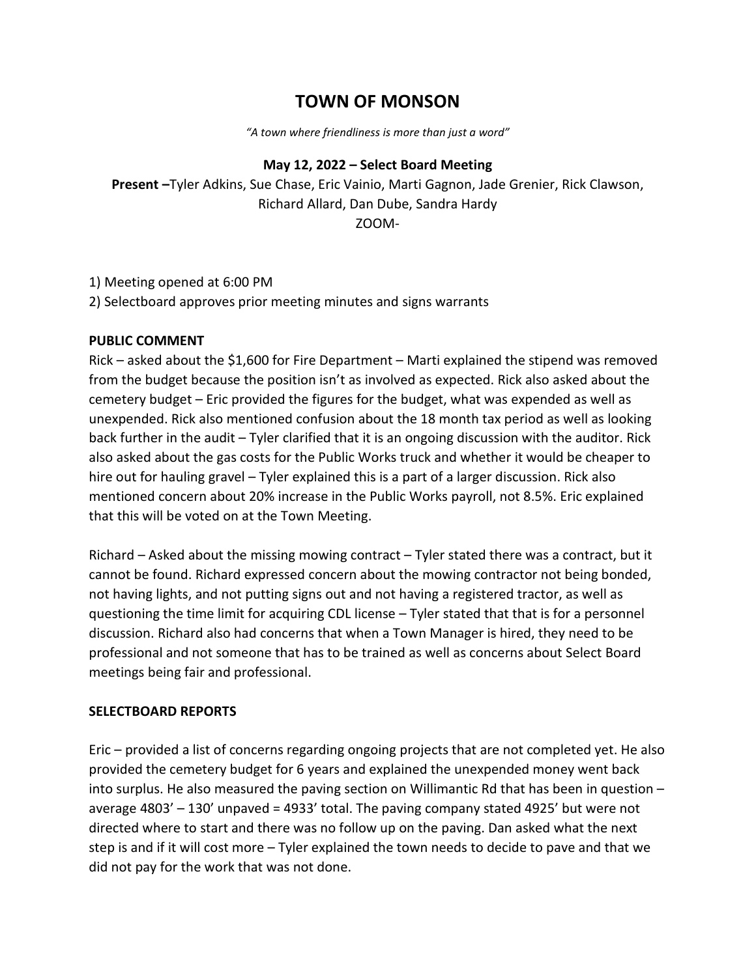# **TOWN OF MONSON**

*"A town where friendliness is more than just a word"*

### **May 12, 2022 – Select Board Meeting**

**Present –**Tyler Adkins, Sue Chase, Eric Vainio, Marti Gagnon, Jade Grenier, Rick Clawson, Richard Allard, Dan Dube, Sandra Hardy ZOOM-

1) Meeting opened at 6:00 PM

2) Selectboard approves prior meeting minutes and signs warrants

## **PUBLIC COMMENT**

Rick – asked about the \$1,600 for Fire Department – Marti explained the stipend was removed from the budget because the position isn't as involved as expected. Rick also asked about the cemetery budget – Eric provided the figures for the budget, what was expended as well as unexpended. Rick also mentioned confusion about the 18 month tax period as well as looking back further in the audit – Tyler clarified that it is an ongoing discussion with the auditor. Rick also asked about the gas costs for the Public Works truck and whether it would be cheaper to hire out for hauling gravel – Tyler explained this is a part of a larger discussion. Rick also mentioned concern about 20% increase in the Public Works payroll, not 8.5%. Eric explained that this will be voted on at the Town Meeting.

Richard – Asked about the missing mowing contract – Tyler stated there was a contract, but it cannot be found. Richard expressed concern about the mowing contractor not being bonded, not having lights, and not putting signs out and not having a registered tractor, as well as questioning the time limit for acquiring CDL license – Tyler stated that that is for a personnel discussion. Richard also had concerns that when a Town Manager is hired, they need to be professional and not someone that has to be trained as well as concerns about Select Board meetings being fair and professional.

# **SELECTBOARD REPORTS**

Eric – provided a list of concerns regarding ongoing projects that are not completed yet. He also provided the cemetery budget for 6 years and explained the unexpended money went back into surplus. He also measured the paving section on Willimantic Rd that has been in question – average 4803' – 130' unpaved = 4933' total. The paving company stated 4925' but were not directed where to start and there was no follow up on the paving. Dan asked what the next step is and if it will cost more – Tyler explained the town needs to decide to pave and that we did not pay for the work that was not done.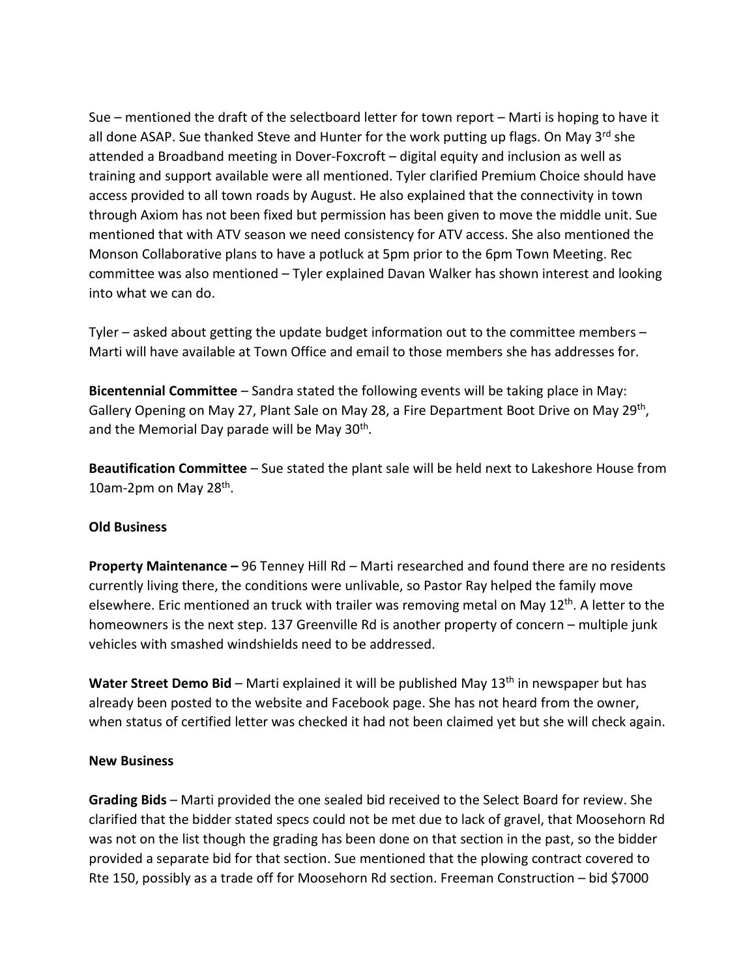Sue – mentioned the draft of the selectboard letter for town report – Marti is hoping to have it all done ASAP. Sue thanked Steve and Hunter for the work putting up flags. On May 3<sup>rd</sup> she attended a Broadband meeting in Dover-Foxcroft – digital equity and inclusion as well as training and support available were all mentioned. Tyler clarified Premium Choice should have access provided to all town roads by August. He also explained that the connectivity in town through Axiom has not been fixed but permission has been given to move the middle unit. Sue mentioned that with ATV season we need consistency for ATV access. She also mentioned the Monson Collaborative plans to have a potluck at 5pm prior to the 6pm Town Meeting. Rec committee was also mentioned – Tyler explained Davan Walker has shown interest and looking into what we can do.

Tyler – asked about getting the update budget information out to the committee members – Marti will have available at Town Office and email to those members she has addresses for.

**Bicentennial Committee** – Sandra stated the following events will be taking place in May: Gallery Opening on May 27, Plant Sale on May 28, a Fire Department Boot Drive on May 29<sup>th</sup>, and the Memorial Day parade will be May 30<sup>th</sup>.

**Beautification Committee** – Sue stated the plant sale will be held next to Lakeshore House from 10am-2pm on May 28<sup>th</sup>.

### **Old Business**

**Property Maintenance –** 96 Tenney Hill Rd – Marti researched and found there are no residents currently living there, the conditions were unlivable, so Pastor Ray helped the family move elsewhere. Eric mentioned an truck with trailer was removing metal on May 12<sup>th</sup>. A letter to the homeowners is the next step. 137 Greenville Rd is another property of concern – multiple junk vehicles with smashed windshields need to be addressed.

Water Street Demo Bid - Marti explained it will be published May 13<sup>th</sup> in newspaper but has already been posted to the website and Facebook page. She has not heard from the owner, when status of certified letter was checked it had not been claimed yet but she will check again.

#### **New Business**

**Grading Bids** – Marti provided the one sealed bid received to the Select Board for review. She clarified that the bidder stated specs could not be met due to lack of gravel, that Moosehorn Rd was not on the list though the grading has been done on that section in the past, so the bidder provided a separate bid for that section. Sue mentioned that the plowing contract covered to Rte 150, possibly as a trade off for Moosehorn Rd section. Freeman Construction – bid \$7000